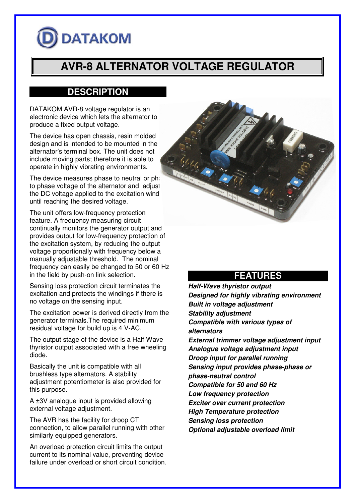# **DATAKOM**

# **AVR-8 ALTERNATOR VOLTAGE REGULATOR**

# **DESCRIPTION**

DATAKOM AVR-8 voltage regulator is an electronic device which lets the alternator to produce a fixed output voltage.

The device has open chassis, resin molded design and is intended to be mounted in the alternator's terminal box. The unit does not include moving parts; therefore it is able to operate in highly vibrating environments.

The device measures phase to neutral or phase to phase voltage of the alternator and adjust the DC voltage applied to the excitation wind until reaching the desired voltage.

The unit offers low-frequency protection feature. A frequency measuring circuit continually monitors the generator output and provides output for low-frequency protection of the excitation system, by reducing the output voltage proportionally with frequency below a manually adjustable threshold. The nominal frequency can easily be changed to 50 or 60 Hz in the field by push-on link selection.

Sensing loss protection circuit terminates the excitation and protects the windings if there is no voltage on the sensing input.

The excitation power is derived directly from the generator terminals.The required minimum residual voltage for build up is 4 V-AC.

The output stage of the device is a Half Wave thyristor output associated with a free wheeling diode.

Basically the unit is compatible with all brushless type alternators. A stability adjustment potentiometer is also provided for this purpose.

A ±3V analogue input is provided allowing external voltage adjustment.

The AVR has the facility for droop CT connection, to allow parallel running with other similarly equipped generators.

An overload protection circuit limits the output current to its nominal value, preventing device failure under overload or short circuit condition.



# **FEATURES**

**Half-Wave thyristor output Designed for highly vibrating environment Built in voltage adjustment Stability adjustment Compatible with various types of alternators External trimmer voltage adjustment input Analogue voltage adjustment input Droop input for parallel running Sensing input provides phase-phase or phase-neutral control Compatible for 50 and 60 Hz Low frequency protection Exciter over current protection High Temperature protection Sensing loss protection Optional adjustable overload limit**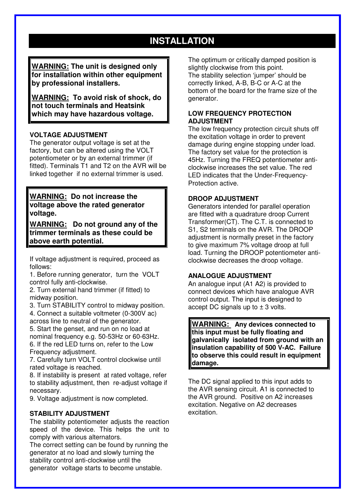# **INSTALLATION**

**WARNING: The unit is designed only for installation within other equipment by professional installers.** 

**WARNING: To avoid risk of shock, do not touch terminals and Heatsink which may have hazardous voltage.** 

#### **VOLTAGE ADJUSTMENT**

The generator output voltage is set at the factory, but can be altered using the VOLT potentiometer or by an external trimmer (if fitted). Terminals T1 and T2 on the AVR will be linked together if no external trimmer is used.

#### **WARNING: Do not increase the voltage above the rated generator voltage.**

**WARNING: Do not ground any of the trimmer terminals as these could be above earth potential.** 

If voltage adjustment is required, proceed as follows:

1. Before running generator, turn the VOLT control fully anti-clockwise.

2. Turn external hand trimmer (if fitted) to midway position.

3. Turn STABILITY control to midway position.

4. Connect a suitable voltmeter (0-300V ac) across line to neutral of the generator.

5. Start the genset, and run on no load at nominal frequency e.g. 50-53Hz or 60-63Hz. 6. If the red LED turns on, refer to the Low Frequency adjustment.

7. Carefully turn VOLT control clockwise until rated voltage is reached.

8. If instability is present at rated voltage, refer to stability adjustment, then re-adjust voltage if necessary.

9. Voltage adjustment is now completed.

#### **STABILITY ADJUSTMENT**

The stability potentiometer adjusts the reaction speed of the device. This helps the unit to comply with various alternators.

The correct setting can be found by running the generator at no load and slowly turning the stability control anti-clockwise until the generator voltage starts to become unstable.

The optimum or critically damped position is slightly clockwise from this point. The stability selection 'jumper' should be correctly linked, A-B, B-C or A-C at the bottom of the board for the frame size of the generator.

#### **LOW FREQUENCY PROTECTION ADJUSTMENT**

The low frequency protection circuit shuts off the excitation voltage in order to prevent damage during engine stopping under load. The factory set value for the protection is 45Hz. Turning the FREQ potentiometer anticlockwise increases the set value. The red LED indicates that the Under-Frequency-Protection active.

#### **DROOP ADJUSTMENT**

Generators intended for parallel operation are fitted with a quadrature droop Current Transformer(CT). The C.T. is connected to S1, S2 terminals on the AVR. The DROOP adjustment is normally preset in the factory to give maximum 7% voltage droop at full load. Turning the DROOP potentiometer anticlockwise decreases the droop voltage.

#### **ANALOGUE ADJUSTMENT**

An analogue input (A1 A2) is provided to connect devices which have analogue AVR control output. The input is designed to accept DC signals up to  $\pm$  3 volts.

**WARNING: Any devices connected to this input must be fully floating and galvanically isolated from ground with an insulation capability of 500 V-AC. Failure to observe this could result in equipment damage.**

The DC signal applied to this input adds to the AVR sensing circuit. A1 is connected to the AVR ground. Positive on A2 increases excitation. Negative on A2 decreases excitation.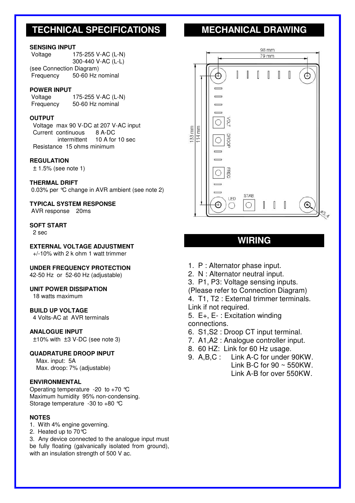## **TECHNICAL SPECIFICATIONS MECHANICAL DRAWING**

#### **SENSING INPUT**

| Voltage                  | 175-255 V-AC (L-N) |
|--------------------------|--------------------|
|                          | 300-440 V-AC (L-L) |
| (see Connection Diagram) |                    |
| Frequency                | 50-60 Hz nominal   |
|                          |                    |

#### **POWER INPUT**

 Voltage 175-255 V-AC (L-N) Frequency 50-60 Hz nominal

#### **OUTPUT**

 Voltage max 90 V-DC at 207 V-AC input Current continuous 8 A-DC intermittent 10 A for 10 sec Resistance 15 ohms minimum

#### **REGULATION**

± 1.5% (see note 1)

#### **THERMAL DRIFT**

0.03% per °C change in AVR ambient (see note 2)

#### **TYPICAL SYSTEM RESPONSE**

AVR response 20ms

#### **SOFT START**

2 sec

**EXTERNAL VOLTAGE ADJUSTMENT** 

+/-10% with 2 k ohm 1 watt trimmer

#### **UNDER FREQUENCY PROTECTION**

42-50 Hz or 52-60 Hz (adjustable)

#### **UNIT POWER DISSIPATION**

18 watts maximum

#### **BUILD UP VOLTAGE**

4 Volts-AC at AVR terminals

#### **ANALOGUE INPUT**

±10% with ±3 V-DC (see note 3)

#### **QUADRATURE DROOP INPUT**

 Max. input: 5A Max. droop: 7% (adjustable)

#### **ENVIRONMENTAL**

Operating temperature -20 to +70  $^{\circ}$ C Maximum humidity 95% non-condensing. Storage temperature -30 to +80 °C

#### **NOTES**

- 1. With 4% engine governing.
- 2. Heated up to 70°C

3. Any device connected to the analogue input must be fully floating (galvanically isolated from ground), with an insulation strength of 500 V ac.



### **WIRING**

- 1. P : Alternator phase input.
- 2. N : Alternator neutral input.

3. P1, P3: Voltage sensing inputs.

(Please refer to Connection Diagram)

4. T1, T2 : External trimmer terminals.

Link if not required.

5. E+, E- : Excitation winding connections.

- 6. S1,S2 : Droop CT input terminal.
- 7. A1,A2 : Analogue controller input.
- 8. 60 HZ: Link for 60 Hz usage.
- 9. A,B,C : Link A-C for under 90KW. Link B-C for  $90 \sim 550$ KW. Link A-B for over 550KW.